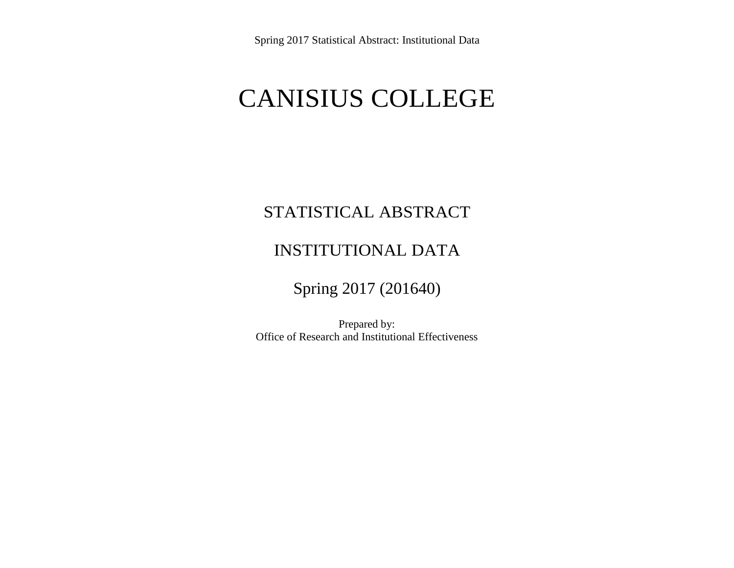# CANISIUS COLLEGE

# STATISTICAL ABSTRACT

# INSTITUTIONAL DATA

Spring 2017 (201640)

Prepared by: Office of Research and Institutional Effectiveness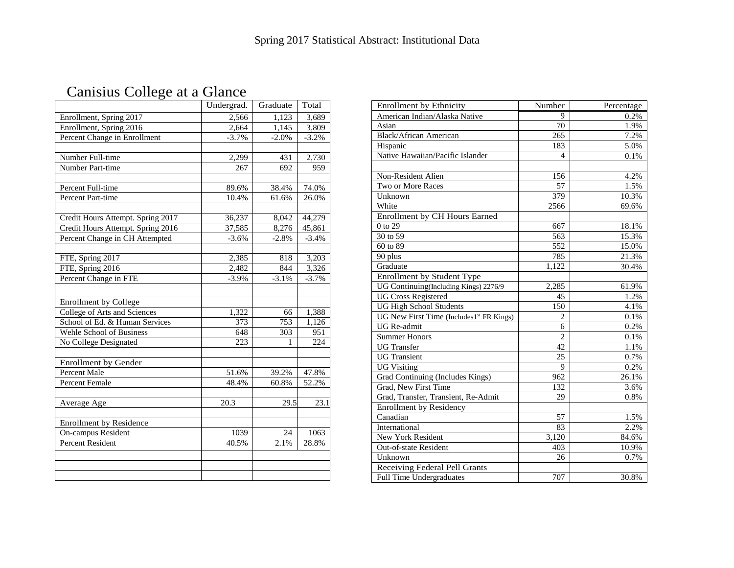| Canisius College at a Glance |  |  |  |
|------------------------------|--|--|--|
|------------------------------|--|--|--|

|                                   | Undergrad. | Graduate | Total   |
|-----------------------------------|------------|----------|---------|
| Enrollment, Spring 2017           | 2,566      | 1,123    | 3,689   |
| Enrollment, Spring 2016           | 2,664      | 1,145    | 3,809   |
| Percent Change in Enrollment      | $-3.7%$    | $-2.0%$  | $-3.2%$ |
|                                   |            |          |         |
| Number Full-time                  | 2,299      | 431      | 2,730   |
| Number Part-time                  | 267        | 692      | 959     |
|                                   |            |          |         |
| Percent Full-time                 | 89.6%      | 38.4%    | 74.0%   |
| Percent Part-time                 | 10.4%      | 61.6%    | 26.0%   |
|                                   |            |          |         |
| Credit Hours Attempt. Spring 2017 | 36,237     | 8,042    | 44,279  |
| Credit Hours Attempt. Spring 2016 | 37,585     | 8,276    | 45,861  |
| Percent Change in CH Attempted    | $-3.6%$    | $-2.8%$  | $-3.4%$ |
|                                   |            |          |         |
| FTE, Spring 2017                  | 2,385      | 818      | 3,203   |
| FTE, Spring 2016                  | 2,482      | 844      | 3,326   |
| Percent Change in FTE             | $-3.9%$    | $-3.1%$  | $-3.7%$ |
|                                   |            |          |         |
| <b>Enrollment by College</b>      |            |          |         |
| College of Arts and Sciences      | 1,322      | 66       | 1,388   |
| School of Ed. & Human Services    | 373        | 753      | 1,126   |
| Wehle School of Business          | 648        | 303      | 951     |
| No College Designated             | 223        | 1        | 224     |
|                                   |            |          |         |
| <b>Enrollment by Gender</b>       |            |          |         |
| <b>Percent Male</b>               | 51.6%      | 39.2%    | 47.8%   |
| Percent Female                    | 48.4%      | 60.8%    | 52.2%   |
|                                   |            |          |         |
| Average Age                       | 20.3       | 29.5     | 23.1    |
|                                   |            |          |         |
| <b>Enrollment by Residence</b>    |            |          |         |
| On-campus Resident                | 1039       | 24       | 1063    |
| <b>Percent Resident</b>           | 40.5%      | 2.1%     | 28.8%   |
|                                   |            |          |         |
|                                   |            |          |         |
|                                   |            |          |         |

| <b>Enrollment by Ethnicity</b>                       | Number           | Percentage |
|------------------------------------------------------|------------------|------------|
| American Indian/Alaska Native                        | 9                | 0.2%       |
| Asian                                                | 70               | 1.9%       |
| <b>Black/African American</b>                        | 265              | 7.2%       |
| Hispanic                                             | 183              | 5.0%       |
| Native Hawaiian/Pacific Islander                     | 4                | 0.1%       |
|                                                      |                  |            |
| Non-Resident Alien                                   | 156              | 4.2%       |
| Two or More Races                                    | 57               | 1.5%       |
| Unknown                                              | 379              | 10.3%      |
| White                                                | 2566             | 69.6%      |
| Enrollment by CH Hours Earned                        |                  |            |
| $0$ to 29                                            | 667              | 18.1%      |
| 30 to 59                                             | 563              | 15.3%      |
| 60 to 89                                             | $\overline{552}$ | 15.0%      |
| 90 plus                                              | 785              | 21.3%      |
| Graduate                                             | 1,122            | 30.4%      |
| Enrollment by Student Type                           |                  |            |
| UG Continuing(Including Kings) 2276/9                | 2,285            | 61.9%      |
| <b>UG Cross Registered</b>                           | 45               | 1.2%       |
| <b>UG High School Students</b>                       | 150              | 4.1%       |
| UG New First Time (Includes1 <sup>st</sup> FR Kings) | $\overline{2}$   | 0.1%       |
| UG Re-admit                                          | 6                | 0.2%       |
| <b>Summer Honors</b>                                 | $\overline{c}$   | 0.1%       |
| <b>UG</b> Transfer                                   | 42               | 1.1%       |
| <b>UG</b> Transient                                  | 25               | 0.7%       |
| <b>UG Visiting</b>                                   | 9                | 0.2%       |
| Grad Continuing (Includes Kings)                     | 962              | 26.1%      |
| Grad, New First Time                                 | 132              | 3.6%       |
| Grad, Transfer, Transient, Re-Admit                  | 29               | 0.8%       |
| <b>Enrollment by Residency</b>                       |                  |            |
| Canadian                                             | 57               | 1.5%       |
| International                                        | 83               | 2.2%       |
| New York Resident                                    | 3,120            | 84.6%      |
| Out-of-state Resident                                | 403              | 10.9%      |
| Unknown                                              | 26               | 0.7%       |
| <b>Receiving Federal Pell Grants</b>                 |                  |            |
| Full Time Undergraduates                             | 707              | 30.8%      |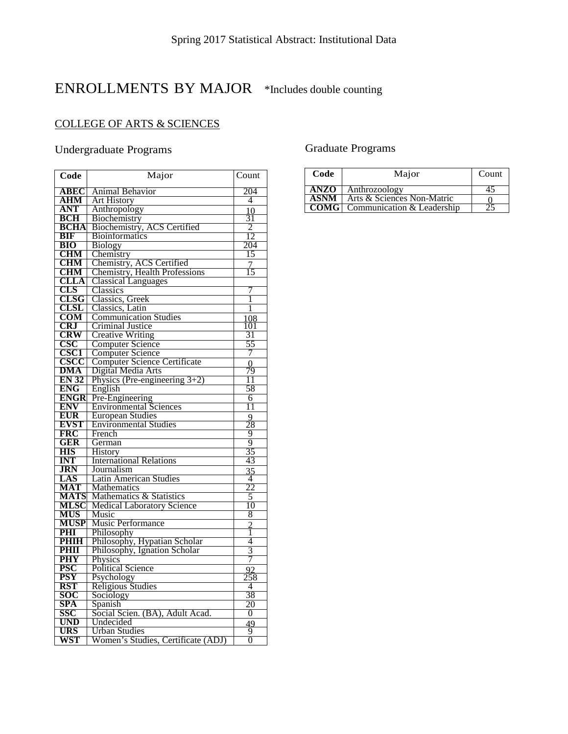# ENROLLMENTS BY MAJOR \*Includes double counting

## COLLEGE OF ARTS & SCIENCES

## Undergraduate Programs

| Code         | Major                               | Count           |
|--------------|-------------------------------------|-----------------|
| ABEC         | Animal Behavior                     | 204             |
| AHM          | <b>Art History</b>                  | 4               |
| <b>ANT</b>   | Anthropology                        | 10              |
| <b>BCH</b>   | Biochemistry                        | 31              |
| <b>BCHA</b>  | Biochemistry, ACS Certified         | $\overline{2}$  |
| BIF          | <b>Bioinformatics</b>               | 12              |
| <b>BIO</b>   | <b>Biology</b>                      | 204             |
| <b>CHM</b>   | Chemistry                           | 15              |
| <b>CHM</b>   | Chemistry, ACS Certified            | $\overline{1}$  |
| <b>CHM</b>   | Chemistry, Health Professions       | 15              |
| <b>CLLA</b>  | <b>Classical Languages</b>          |                 |
| <b>CLS</b>   | Classics                            | 7               |
| CLSG         | Classics, Greek                     |                 |
| CLSL         | Classics, Latin                     | 1               |
| COM          | <b>Communication Studies</b>        | 108             |
| <b>CRJ</b>   | <b>Criminal Justice</b>             | 101             |
| <b>CRW</b>   | <b>Creative Writing</b>             | 31              |
| $\csc$       | <b>Computer Science</b>             | 55              |
| <b>CSC1</b>  | <b>Computer Science</b>             | 7               |
| <b>CSCC</b>  | <b>Computer Science Certificate</b> | $\theta$        |
| <b>DMA</b>   | Digital Media Arts                  | 79              |
| <b>EN 32</b> | Physics (Pre-engineering $3+2$ )    | 11              |
| <b>ENG</b>   | English                             | 58              |
| <b>ENGR</b>  | Pre-Engineering                     | 6               |
| <b>ENV</b>   | <b>Environmental Sciences</b>       | 11              |
| <b>EUR</b>   | <b>European Studies</b>             | 9               |
| <b>EVST</b>  | <b>Environmental Studies</b>        | 28              |
| FRC          | French                              | 9               |
| GER          | German                              | 9               |
| <b>HIS</b>   | History                             | 35              |
| <b>INT</b>   | <b>International Relations</b>      | 43              |
| <b>JRN</b>   | Journalism                          | $\overline{35}$ |
| LAS          | <b>Latin American Studies</b>       | 4               |
| MAT          | <b>Mathematics</b>                  | 22              |
| <b>MATS</b>  | Mathematics & Statistics            | 5               |
| MLSC         | <b>Medical Laboratory Science</b>   | 10              |
| <b>MUS</b>   | Music                               | 8               |
| <b>MUSP</b>  | Music Performance                   | $\overline{2}$  |
| PHI          | Philosophy                          | 1               |
| PHIH         | Philosophy, Hypatian Scholar        | 4               |
| <b>PHII</b>  | Philosophy, Ignation Scholar        | 3               |
| <b>PHY</b>   | Physics                             | 7               |
| <b>PSC</b>   | <b>Political Science</b>            | 92              |
| <b>PSY</b>   | Psychology                          | 258             |
| RST          | Religious Studies                   | 4               |
| SOC          | Sociology                           | 38              |
| <b>SPA</b>   | Spanish                             | 20              |
| SSC          | Social Scien. (BA), Adult Acad.     | $\overline{0}$  |
| <b>UND</b>   | Undecided                           | 49              |
| URS          | Urban Studies                       | 9               |
| WST          | Women's Studies, Certificate (ADJ)  | $\overline{0}$  |

#### Graduate Programs

| Code        | Major                      | Count |
|-------------|----------------------------|-------|
| ANZO        | Anthrozoology              |       |
| <b>ASNM</b> | Arts & Sciences Non-Matric |       |
| <b>COMG</b> | Communication & Leadership |       |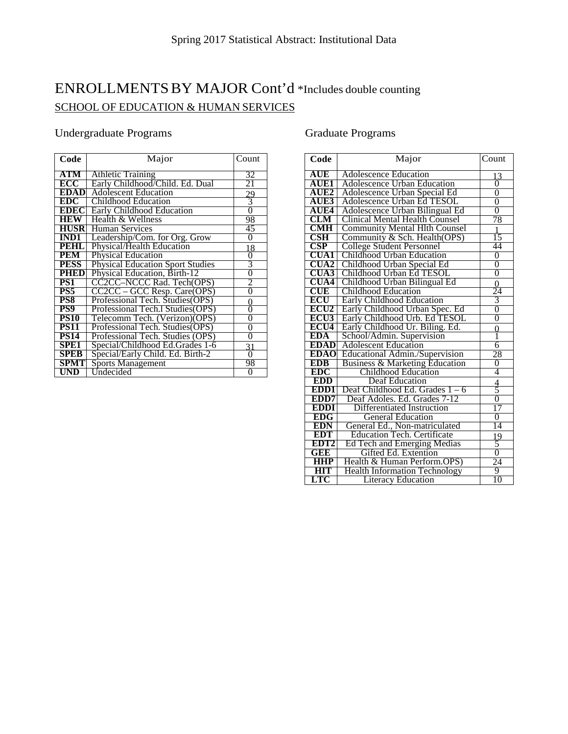## ENROLLMENTSBY MAJOR Cont'd \*Includes double counting SCHOOL OF EDUCATION & HUMAN SERVICES

#### Undergraduate Programs

| Code        | Major                                   | Count          |
|-------------|-----------------------------------------|----------------|
| ATM         | <b>Athletic Training</b>                | 32             |
| ECC         | Early Childhood/Child. Ed. Dual         | 21             |
| EDAD        | <b>Adolescent Education</b>             |                |
| EDC.        | Childhood Education                     | $\frac{29}{3}$ |
| EDEC        | Early Childhood Education               | 0              |
| <b>HEW</b>  | Health & Wellness                       | 98             |
| <b>HUSR</b> | Human Services                          | 45             |
| <b>IND1</b> | Leadership/Com. for Org. Grow           | 0              |
| PEHL        |                                         |                |
| PEM         | Physical/Health Education               | 18             |
|             | <b>Physical Education</b>               | $\overline{0}$ |
| <b>PESS</b> | <b>Physical Education Sport Studies</b> | 3              |
| <b>PHED</b> | Physical Education, Birth-12            | 0              |
| PS1         | CC2CC-NCCC Rad. Tech(OPS)               | 2              |
| PS5         | CC2CC – GCC Resp. Care(OPS)             | $\overline{0}$ |
| PS8         | Professional Tech. Studies(OPS)         | 0              |
| PS9         | Professional Tech. Studies (OPS)        | $\overline{0}$ |
| <b>PS10</b> | Telecomm Tech. (Verizon)(OPS)           | 0              |
| <b>PS11</b> | Professional Tech. Studies(OPS)         | $\overline{0}$ |
| <b>PS14</b> | Professional Tech. Studies (OPS)        | $\overline{0}$ |
| SPE1        | Special/Childhood Ed.Grades 1-6         | 31             |
| <b>SPEB</b> | Special/Early Child. Ed. Birth-2        | $\overline{0}$ |
| SPMT        | <b>Sports Management</b>                | 98             |
| UND         | Undecided                               | 0              |

#### Graduate Programs

| Code                    | Major                                 | Count          |
|-------------------------|---------------------------------------|----------------|
| <b>AUE</b>              | <b>Adolescence Education</b>          | 13             |
| <b>AUE1</b>             | <b>Adolescence Urban Education</b>    | $\overline{0}$ |
| $\overline{\rm AUE2}$   | Adolescence Urban Special Ed          | $\overline{0}$ |
| <b>AUE3</b>             | Adolescence Urban Ed TESOL            | $\overline{0}$ |
| <b>AUE4</b>             | Adolescence Urban Bilingual Ed        | $\overline{0}$ |
| <b>CLM</b>              | <b>Clinical Mental Health Counsel</b> | 78             |
| <b>CMH</b>              | Community Mental Hlth Counsel         |                |
| $\overline{\text{CSH}}$ | Community & Sch. Health(OPS)          | 15             |
| $\bf CSP$               | <b>College Student Personnel</b>      | 44             |
| <b>CUA1</b>             | Childhood Urban Education             | 0              |
| <b>CUA2</b>             | Childhood Urban Special Ed            | 0              |
| CUA3                    | Childhood Urban Ed TESOL              | $\overline{0}$ |
| <b>CUA4</b>             | Childhood Urban Bilingual Ed          | $\Omega$       |
| ${\bf CUE}$             | <b>Childhood Education</b>            | 24             |
| ECU                     | <b>Early Childhood Education</b>      | 3              |
| <b>ECU2</b>             | Early Childhood Urban Spec. Ed        | 0              |
| ECU3                    | Early Childhood Urb. Ed TESOL         | $\overline{0}$ |
| ECU4                    | Early Childhood Ur. Biling. Ed.       | $\theta$       |
| <b>EDA</b>              | School/Admin. Supervision             | 1              |
| <b>EDAD</b>             | <b>Adolescent Education</b>           | 6              |
| <b>EDAO</b>             | Educational Admin./Supervision        | 28             |
| <b>EDB</b>              | Business & Marketing Education        | $\overline{0}$ |
| EDC                     | Childhood Education                   | 4              |
| <b>EDD</b>              | Deaf Education                        | $\frac{4}{5}$  |
| EDD1                    | Deaf Childhood Ed. Grades 1 - 6       |                |
| EDD7                    | Deaf Adoles. Ed. Grades 7-12          | $\overline{0}$ |
| EDDI                    | Differentiated Instruction            | 17             |
| <b>EDG</b>              | <b>General Education</b>              | 0              |
| EDN                     | General Ed., Non-matriculated         | 14             |
| <b>EDT</b>              | <b>Education Tech. Certificate</b>    | 19             |
| EDT <sub>2</sub>        | <b>Ed Tech and Emerging Medias</b>    | 3              |
| GEE                     | Gifted Ed. Extention                  | 0              |
| <b>HHP</b>              | Health & Human Perform.OPS)           | 24             |
| HIT                     | <b>Health Information Technology</b>  | 9              |
| LTC                     | <b>Literacy Education</b>             | 10             |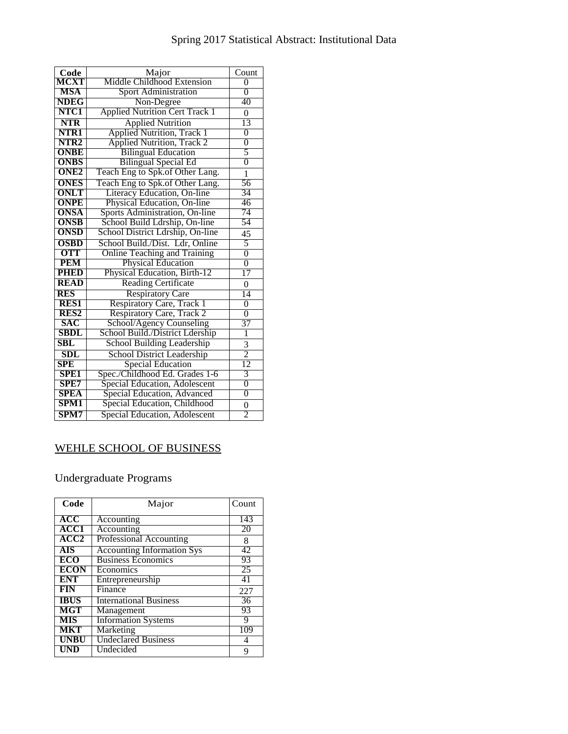## Spring 2017 Statistical Abstract: Institutional Data

| Code             | Major                                 | Count          |
|------------------|---------------------------------------|----------------|
| MCXT             | Middle Childhood Extension            | $\overline{0}$ |
| <b>MSA</b>       | <b>Sport Administration</b>           | $\overline{0}$ |
| <b>NDEG</b>      | Non-Degree                            | 40             |
| NTC1             | <b>Applied Nutrition Cert Track 1</b> | $\theta$       |
| <b>NTR</b>       | <b>Applied Nutrition</b>              | 13             |
| NTR1             | <b>Applied Nutrition, Track 1</b>     | $\overline{0}$ |
| NTR2             | <b>Applied Nutrition, Track 2</b>     | 0              |
| <b>ONBE</b>      | <b>Bilingual Education</b>            | 5              |
| <b>ONBS</b>      | <b>Bilingual Special Ed</b>           | $\overline{0}$ |
| ONE <sub>2</sub> | Teach Eng to Spk.of Other Lang.       | $\mathbf{1}$   |
| <b>ONES</b>      | Teach Eng to Spk.of Other Lang.       | 56             |
| <b>ONLT</b>      | Literacy Education, On-line           | 34             |
| <b>ONPE</b>      | Physical Education, On-line           | 46             |
| ONSA             | Sports Administration, On-line        | 74             |
| <b>ONSB</b>      | School Build Ldrship, On-line         | 54             |
| <b>ONSD</b>      | School District Ldrship, On-line      | 45             |
| <b>OSBD</b>      | School Build./Dist. Ldr, Online       | 5              |
| <b>OTT</b>       | <b>Online Teaching and Training</b>   | $\overline{0}$ |
| <b>PEM</b>       | <b>Physical Education</b>             | $\overline{0}$ |
| <b>PHED</b>      | Physical Education, Birth-12          | 17             |
| <b>READ</b>      | <b>Reading Certificate</b>            | $\overline{0}$ |
| <b>RES</b>       | <b>Respiratory Care</b>               | 14             |
| <b>RES1</b>      | Respiratory Care, Track 1             | $\overline{0}$ |
| RES <sub>2</sub> | Respiratory Care, Track 2             | $\overline{0}$ |
| <b>SAC</b>       | School/Agency Counseling              | 37             |
| <b>SBDL</b>      | School Build./District Ldership       | 1              |
| $\bf SBL$        | School Building Leadership            | 3              |
| <b>SDL</b>       | <b>School District Leadership</b>     | $\overline{2}$ |
| <b>SPE</b>       | <b>Special Education</b>              | 12             |
| SPE1             | Spec./Childhood Ed. Grades 1-6        | $\overline{3}$ |
| SPE7             | Special Education, Adolescent         | $\overline{0}$ |
| <b>SPEA</b>      | Special Education, Advanced           | $\overline{0}$ |
| SPM1             | Special Education, Childhood          | 0              |
| SPM7             | Special Education, Adolescent         | $\overline{2}$ |

#### WEHLE SCHOOL OF BUSINESS

## Undergraduate Programs

| Code        | Major                             | Count           |
|-------------|-----------------------------------|-----------------|
| ACC         | Accounting                        | 143             |
|             |                                   |                 |
| <b>ACC1</b> | Accounting                        | 20              |
| <b>ACC2</b> | Professional Accounting           | 8               |
| <b>AIS</b>  | <b>Accounting Information Sys</b> | 42              |
| <b>ECO</b>  | <b>Business Economics</b>         | 93              |
| <b>ECON</b> | Economics                         | 25              |
| <b>ENT</b>  | Entrepreneurship                  | 41              |
| <b>FIN</b>  | Finance                           | 227             |
| <b>IBUS</b> | <b>International Business</b>     | $\overline{36}$ |
| <b>MGT</b>  | Management                        | 93              |
| <b>MIS</b>  | <b>Information Systems</b>        | 9               |
| MKT         | Marketing                         | 109             |
| <b>UNBU</b> | <b>Undeclared Business</b>        | 4               |
| UND         | Undecided                         | 9               |